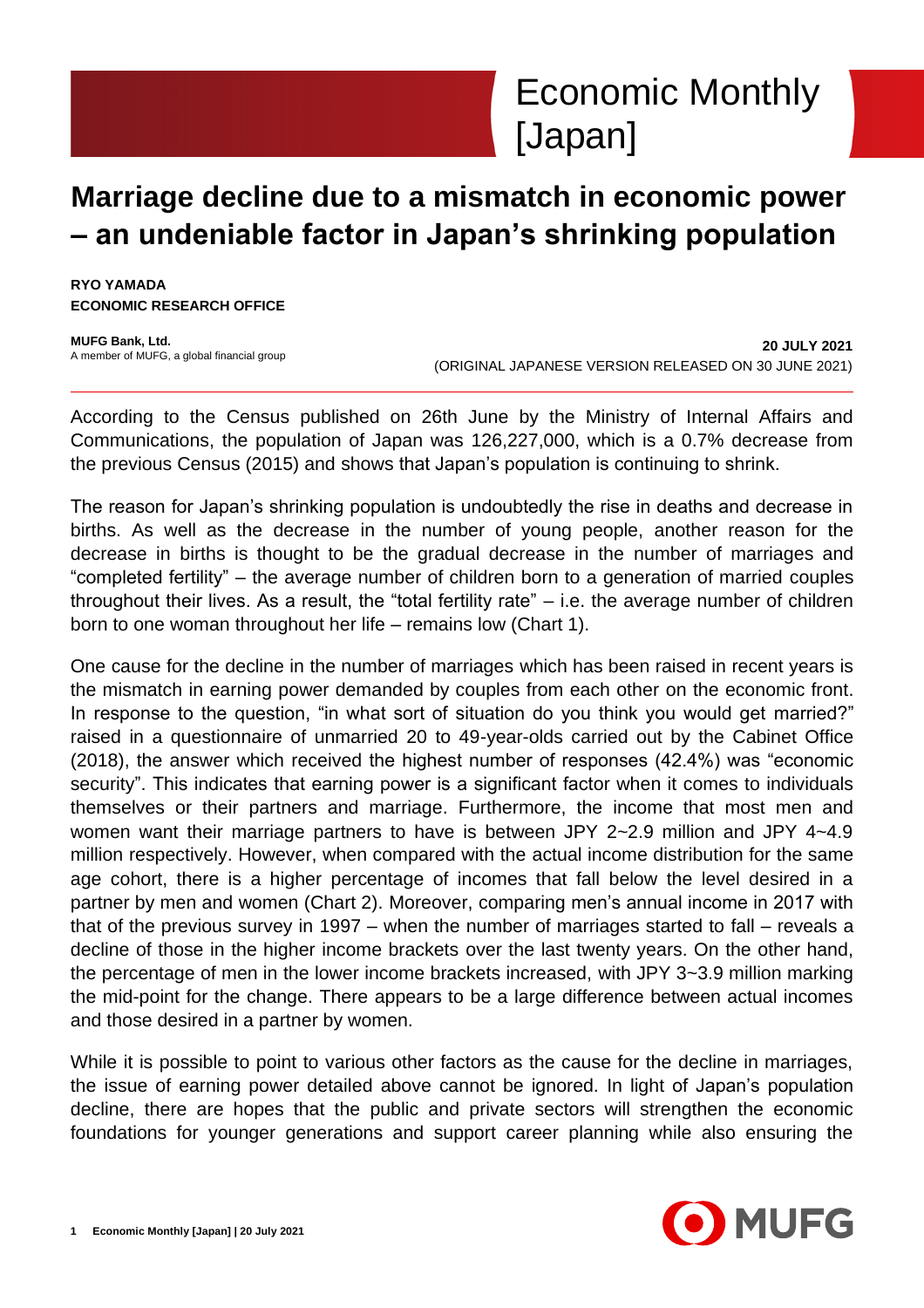

# **Marriage decline due to a mismatch in economic power – an undeniable factor in Japan's shrinking population**

**RYO YAMADA ECONOMIC RESEARCH OFFICE**

**MUFG Bank, Ltd.** A member of MUFG, a global financial group

**20 JULY 2021** (ORIGINAL JAPANESE VERSION RELEASED ON 30 JUNE 2021)

According to the Census published on 26th June by the Ministry of Internal Affairs and Communications, the population of Japan was 126,227,000, which is a 0.7% decrease from the previous Census (2015) and shows that Japan's population is continuing to shrink.

The reason for Japan's shrinking population is undoubtedly the rise in deaths and decrease in births. As well as the decrease in the number of young people, another reason for the decrease in births is thought to be the gradual decrease in the number of marriages and "completed fertility" – the average number of children born to a generation of married couples throughout their lives. As a result, the "total fertility rate" – i.e. the average number of children born to one woman throughout her life – remains low (Chart 1).

One cause for the decline in the number of marriages which has been raised in recent years is the mismatch in earning power demanded by couples from each other on the economic front. In response to the question, "in what sort of situation do you think you would get married?" raised in a questionnaire of unmarried 20 to 49-year-olds carried out by the Cabinet Office (2018), the answer which received the highest number of responses (42.4%) was "economic security". This indicates that earning power is a significant factor when it comes to individuals themselves or their partners and marriage. Furthermore, the income that most men and women want their marriage partners to have is between JPY 2~2.9 million and JPY 4~4.9 million respectively. However, when compared with the actual income distribution for the same age cohort, there is a higher percentage of incomes that fall below the level desired in a partner by men and women (Chart 2). Moreover, comparing men's annual income in 2017 with that of the previous survey in 1997 – when the number of marriages started to fall – reveals a decline of those in the higher income brackets over the last twenty years. On the other hand, the percentage of men in the lower income brackets increased, with JPY 3~3.9 million marking the mid-point for the change. There appears to be a large difference between actual incomes and those desired in a partner by women.

While it is possible to point to various other factors as the cause for the decline in marriages, the issue of earning power detailed above cannot be ignored. In light of Japan's population decline, there are hopes that the public and private sectors will strengthen the economic foundations for younger generations and support career planning while also ensuring the

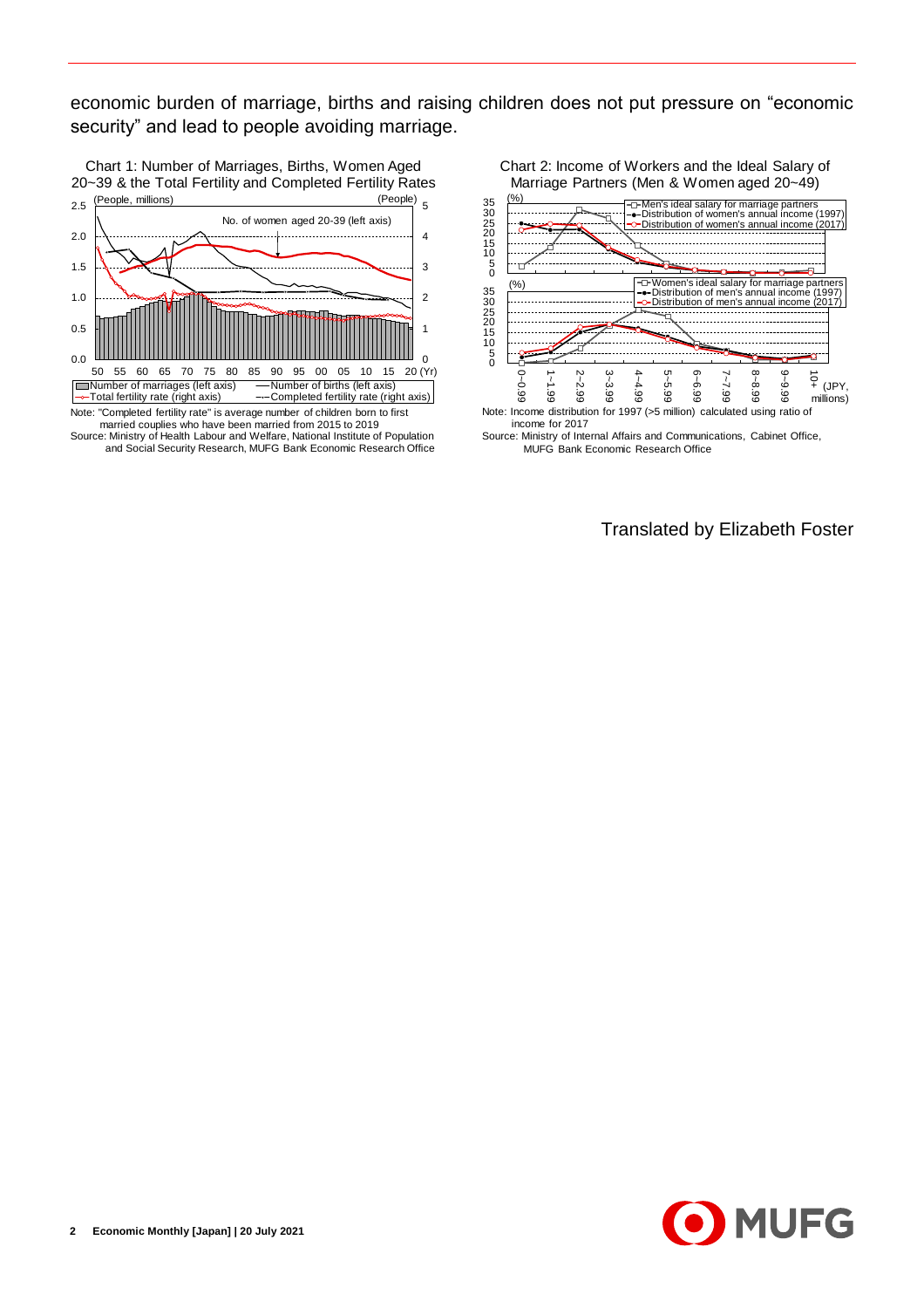economic burden of marriage, births and raising children does not put pressure on "economic security" and lead to people avoiding marriage.



Source: Ministry of Health Labour and Welfare, National Institute of Population and Social Security Research, MUFG Bank Economic Research Office Chart 2: Income of Workers and the Ideal Salary of Marriage Partners (Men & Women aged 20~49)



Source: Ministry of Internal Affairs and Communications, Cabinet Office, MUFG Bank Economic Research Office

Translated by Elizabeth Foster

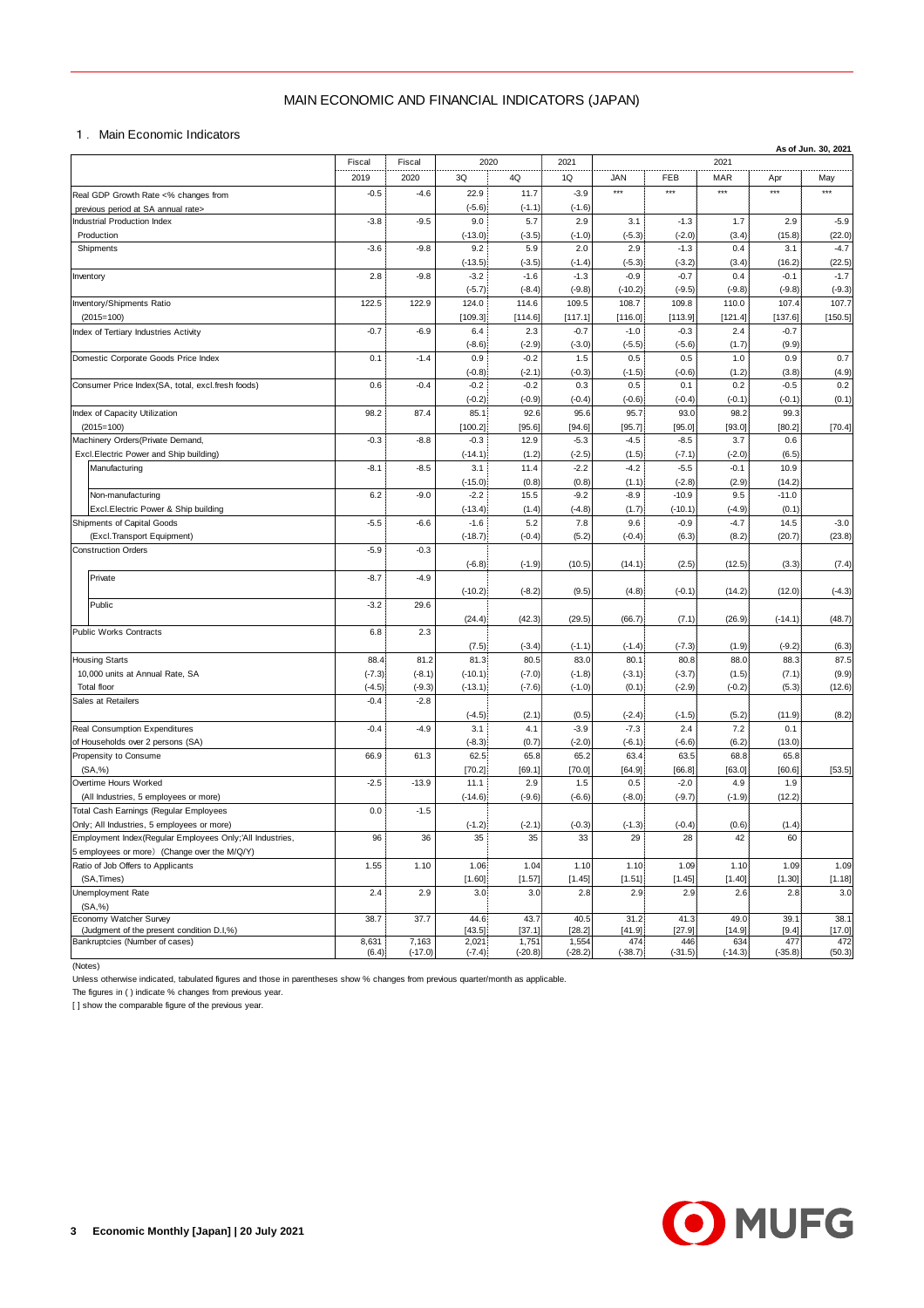## MAIN ECONOMIC AND FINANCIAL INDICATORS (JAPAN)

|                                                                                                          | MAIN ECONOMIC AND FINANCIAL INDICATORS (JAPAN) |                                |                     |                    |                    |                    |                     |                |                   |                     |
|----------------------------------------------------------------------------------------------------------|------------------------------------------------|--------------------------------|---------------------|--------------------|--------------------|--------------------|---------------------|----------------|-------------------|---------------------|
| 1. Main Economic Indicators                                                                              |                                                |                                |                     |                    |                    |                    |                     |                |                   |                     |
|                                                                                                          | Fiscal                                         | 2020<br>2021<br>Fiscal<br>2021 |                     |                    |                    |                    |                     |                |                   | As of Jun. 30, 2021 |
|                                                                                                          | 2019                                           | 2020                           | 3Q                  | 4Q                 | 1Q                 | <b>JAN</b>         | FEB                 | MAR            | Apr               | May                 |
| Real GDP Growth Rate <% changes from                                                                     | $-0.5$                                         | $-4.6$                         | 22.9                | 11.7               | $-3.9$             | $***$              | $***$               | $***$          | $***$             | ***                 |
| previous period at SA annual rate><br>Industrial Production Index                                        | $-3.8$                                         | $-9.5$                         | $(-5.6)$<br>9.0     | $(-1.1)$<br>5.7    | $(-1.6)$<br>2.9    | 3.1                | $-1.3$              | 1.7            | 2.9               | $-5.9$              |
| Production                                                                                               |                                                |                                | $(-13.0)$           | $(-3.5)$           | $(-1.0)$           | $(-5.3)$           | $(-2.0)$            | (3.4)          | (15.8)            | (22.0)              |
| Shipments                                                                                                | $-3.6$                                         | $-9.8$                         | 9.2                 | 5.9                | 2.0                | 2.9                | $-1.3$              | 0.4            | 3.1               | $-4.7$              |
| Inventory                                                                                                | 2.8                                            | $-9.8$                         | $(-13.5)$<br>$-3.2$ | $(-3.5)$<br>$-1.6$ | $(-1.4)$<br>$-1.3$ | $(-5.3)$<br>$-0.9$ | $(-3.2)$<br>$-0.7$  | (3.4)<br>0.4   | (16.2)<br>$-0.1$  | (22.5)<br>$-1.7$    |
|                                                                                                          |                                                |                                | $(-5.7)$            | $(-8.4)$           | $(-9.8)$           | $(-10.2)$          | $(-9.5)$            | $(-9.8)$       | $(-9.8)$          | $(-9.3)$            |
| Inventory/Shipments Ratio                                                                                | 122.5                                          | 122.9                          | 124.0               | 114.6              | 109.5              | 108.7              | 109.8               | 110.0          | 107.4             | 107.7               |
| $(2015=100)$<br>Index of Tertiary Industries Activity                                                    | $-0.7$                                         | $-6.9$                         | [109.3]<br>6.4      | [114.6]<br>2.3     | [117.1]<br>$-0.7$  | [116.0]<br>$-1.0$  | [113.9]<br>$-0.3$   | [121.4]<br>2.4 | [137.6]<br>$-0.7$ | [150.5]             |
|                                                                                                          |                                                |                                | $(-8.6)$            | $(-2.9)$           | $(-3.0)$           | $(-5.5)$           | $(-5.6)$            | (1.7)          | (9.9)             |                     |
| Domestic Corporate Goods Price Index                                                                     | 0.1                                            | $-1.4$                         | 0.9                 | $-0.2$             | 1.5                | 0.5                | 0.5                 | 1.0            | 0.9               | 0.7                 |
| Consumer Price Index(SA, total, excl.fresh foods)                                                        | 0.6                                            | $-0.4$                         | $(-0.8)$<br>$-0.2$  | $(-2.1)$<br>$-0.2$ | $(-0.3)$<br>0.3    | $(-1.5)$<br>0.5    | $(-0.6)$<br>0.1     | (1.2)<br>0.2   | (3.8)<br>$-0.5$   | (4.9)<br>0.2        |
|                                                                                                          |                                                |                                | $(-0.2)$            | $(-0.9)$           | $(-0.4)$           | $(-0.6)$           | $(-0.4)$            | $(-0.1)$       | $(-0.1)$          | (0.1)               |
| Index of Capacity Utilization                                                                            | 98.2                                           | 87.4                           | 85.1                | 92.6               | 95.6               | 95.7               | 93.0                | 98.2           | 99.3              |                     |
| $(2015=100)$<br>Machinery Orders (Private Demand,                                                        | $-0.3$                                         | $-8.8$                         | [100.2]<br>$-0.3$   | [95.6]<br>12.9     | [94.6]<br>$-5.3$   | [95.7]<br>$-4.5$   | [95.0]<br>$-8.5$    | [93.0]<br>3.7  | [80.2]<br>0.6     | [70.4]              |
| Excl.Electric Power and Ship building)                                                                   |                                                |                                | $(-14.1)$           | (1.2)              | $(-2.5)$           | (1.5)              | $(-7.1)$            | $(-2.0)$       | (6.5)             |                     |
| Manufacturing                                                                                            | $-8.1$                                         | $-8.5$                         | 3.1                 | 11.4               | $-2.2$             | $-4.2$             | $-5.5$              | $-0.1$         | 10.9              |                     |
|                                                                                                          | 6.2                                            | $-9.0$                         | $(-15.0)$<br>$-2.2$ | (0.8)<br>15.5      | (0.8)<br>$-9.2$    | (1.1)<br>$-8.9$    | $(-2.8)$<br>$-10.9$ | (2.9)<br>9.5   | (14.2)<br>$-11.0$ |                     |
| Non-manufacturing<br>Excl. Electric Power & Ship building                                                |                                                |                                | $(-13.4)$           | (1.4)              | $(-4.8)$           | (1.7)              | $(-10.1)$           | $(-4.9)$       | (0.1)             |                     |
| Shipments of Capital Goods                                                                               | $-5.5$                                         | $-6.6$                         | $-1.6$              | 5.2                | 7.8                | 9.6                | $-0.9$              | $-4.7$         | 14.5              | $-3.0$              |
| (Excl.Transport Equipment)                                                                               |                                                |                                | $(-18.7)$           | $(-0.4)$           | (5.2)              | $(-0.4)$           | (6.3)               | (8.2)          | (20.7)            | (23.8)              |
| <b>Construction Orders</b>                                                                               | $-5.9$                                         | $-0.3$                         | $(-6.8)$            | $(-1.9)$           | (10.5)             | (14.1)             | (2.5)               | (12.5)         | (3.3)             | (7.4)               |
| Private                                                                                                  | $-8.7$                                         | $-4.9$                         |                     |                    |                    |                    |                     |                |                   |                     |
|                                                                                                          |                                                |                                | $(-10.2)$           | $(-8.2)$           | (9.5)              | (4.8)              | $(-0.1)$            | (14.2)         | (12.0)            | $(-4.3)$            |
| Public                                                                                                   | $-3.2$                                         | 29.6                           | (24.4)              | (42.3)             | (29.5)             | (66.7)             | (7.1)               | (26.9)         | $(-14.1)$         | (48.7)              |
| Public Works Contracts                                                                                   | 6.8                                            | 2.3                            |                     |                    |                    |                    |                     |                |                   |                     |
|                                                                                                          |                                                |                                | (7.5)               | $(-3.4)$           | $(-1.1)$           | $(-1.4)$           | $(-7.3)$            | (1.9)          | $(-9.2)$          | (6.3)               |
| <b>Housing Starts</b><br>10,000 units at Annual Rate, SA                                                 | 88.4<br>$(-7.3)$                               | 81.2<br>$(-8.1)$               | 81.3<br>$(-10.1)$   | 80.5<br>$(-7.0)$   | 83.0<br>$(-1.8)$   | 80.1<br>$(-3.1)$   | 80.8<br>$(-3.7)$    | 88.0<br>(1.5)  | 88.3<br>(7.1)     | 87.5<br>(9.9)       |
| <b>Total floor</b>                                                                                       | $(-4.5)$                                       | $(-9.3)$                       | $(-13.1)$           | $(-7.6)$           | $(-1.0)$           | (0.1)              | $(-2.9)$            | $(-0.2)$       | (5.3)             | (12.6)              |
| Sales at Retailers                                                                                       | $-0.4$                                         | $-2.8$                         |                     |                    |                    |                    |                     |                |                   |                     |
| Real Consumption Expenditures                                                                            | $-0.4$                                         | $-4.9$                         | $(-4.5)$<br>3.1     | (2.1)<br>4.1       | (0.5)<br>$-3.9$    | $(-2.4)$<br>$-7.3$ | $(-1.5)$<br>2.4     | (5.2)<br>7.2   | (11.9)<br>0.1     | (8.2)               |
| of Households over 2 persons (SA)                                                                        |                                                |                                | $(-8.3)$            | (0.7)              | $(-2.0)$           | $(-6.1)$           | $(-6.6)$            | (6.2)          | (13.0)            |                     |
| Propensity to Consume                                                                                    | 66.9                                           | 61.3                           | 62.5                | 65.8               | 65.2               | 63.4               | 63.5                | 68.8           | 65.8              |                     |
| (SA, %)<br>Overtime Hours Worked                                                                         | $-2.5$                                         | $-13.9$                        | [70.2]<br>11.1      | [69.1]<br>2.9      | [70.0]<br>1.5      | [64.9]<br>0.5      | [66.8]<br>$-2.0$    | [63.0]<br>4.9  | [60.6]<br>1.9     | [53.5]              |
| (All Industries, 5 employees or more)                                                                    |                                                |                                | $(-14.6)$           | $(-9.6)$           | $(-6.6)$           | $(-8.0)$           | $(-9.7)$            | $(-1.9)$       | (12.2)            |                     |
| Total Cash Earnings (Regular Employees                                                                   | 0.0                                            | $-1.5$                         |                     |                    |                    |                    |                     |                |                   |                     |
| Only; All Industries, 5 employees or more)                                                               |                                                |                                | $(-1.2)$            | $(-2.1)$           | $(-0.3)$           | $(-1.3)$           | $(-0.4)$            | (0.6)          | (1.4)             |                     |
| Employment Index(Regular Employees Only;'All Industries,<br>5 employees or more) (Change over the M/Q/Y) | 96                                             | 36                             | 35                  | 35                 | 33                 | 29                 | 28                  | 42             | 60                |                     |
| Ratio of Job Offers to Applicants                                                                        | 1.55                                           | 1.10                           | 1.06                | 1.04               | 1.10               | 1.10               | 1.09                | 1.10           | 1.09              | 1.09                |
| (SA, Times)                                                                                              |                                                |                                | [1.60]              | [1.57]             | [1.45]             | [1.51]             | [1.45]              | [1.40]         | [1.30]            | [1.18]              |
| Unemployment Rate<br>(SA, %)                                                                             | 2.4                                            | 2.9                            | 3.0                 | 3.0                | 2.8                | 2.9                | 2.9                 | 2.6            | 2.8               | 3.0                 |
| Economy Watcher Survey                                                                                   | 38.7                                           | 37.7                           | 44.6                | 43.7               | 40.5               | 31.2               | 41.3                | 49.0           | 39.1              | 38.1                |
| (Judgment of the present condition D.I,%)<br>Bankruptcies (Number of cases)                              | 8,631                                          | 7,163                          | [43.5]<br>2,021     | [37.1]<br>1,751    | [28.2]<br>1,554    | [41.9]<br>474      | [27.9]<br>446       | [14.9]<br>634  | [9.4]<br>477      | [17.0]<br>472       |
|                                                                                                          | (6.4)                                          | $(-17.0)$                      | $(-7.4)$            | $(-20.8)$          | $(-28.2)$          | $(-38.7)$          | $(-31.5)$           | $(-14.3)$      | $(-35.8)$         | (50.3)              |

(Notes)

Unless otherwise indicated, tabulated figures and those in parentheses show % changes from previous quarter/month as applicable.

The figures in ( ) indicate % changes from previous year.

[ ] show the comparable figure of the previous year.